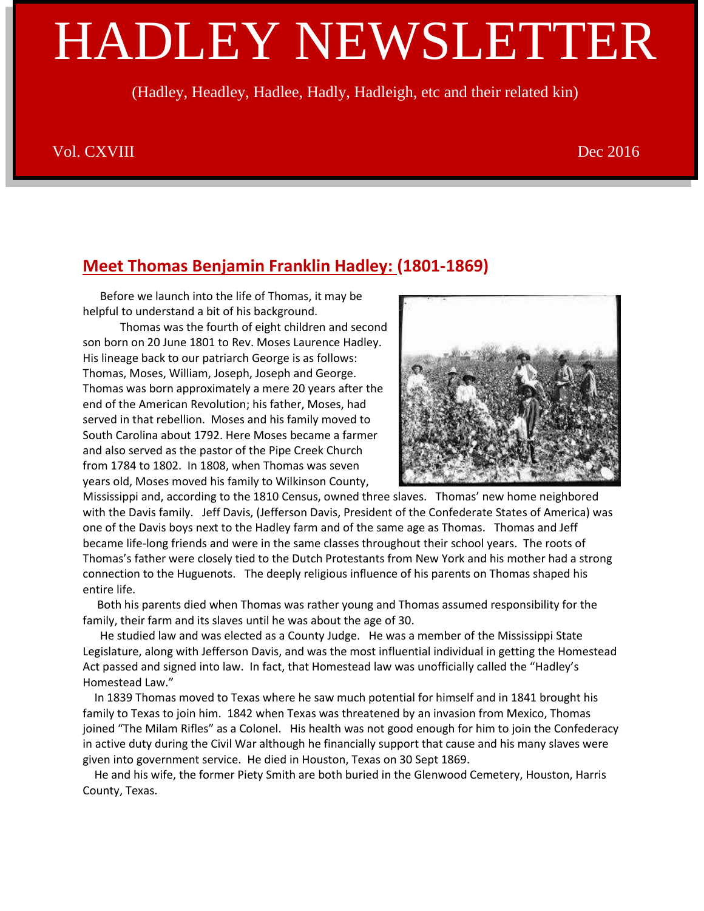# HADLEY NEWSLETTER

(Hadley, Headley, Hadlee, Hadly, Hadleigh, etc and their related kin)

#### Vol. CXVIII Dec 2016

## **Meet Thomas Benjamin Franklin Hadley: (1801-1869)**

 Before we launch into the life of Thomas, it may be helpful to understand a bit of his background.

 Thomas was the fourth of eight children and second son born on 20 June 1801 to Rev. Moses Laurence Hadley. His lineage back to our patriarch George is as follows: Thomas, Moses, William, Joseph, Joseph and George. Thomas was born approximately a mere 20 years after the end of the American Revolution; his father, Moses, had served in that rebellion. Moses and his family moved to South Carolina about 1792. Here Moses became a farmer and also served as the pastor of the Pipe Creek Church from 1784 to 1802. In 1808, when Thomas was seven years old, Moses moved his family to Wilkinson County,



Mississippi and, according to the 1810 Census, owned three slaves. Thomas' new home neighbored with the Davis family. Jeff Davis, (Jefferson Davis, President of the Confederate States of America) was one of the Davis boys next to the Hadley farm and of the same age as Thomas. Thomas and Jeff became life-long friends and were in the same classes throughout their school years. The roots of Thomas's father were closely tied to the Dutch Protestants from New York and his mother had a strong connection to the Huguenots. The deeply religious influence of his parents on Thomas shaped his entire life.

 Both his parents died when Thomas was rather young and Thomas assumed responsibility for the family, their farm and its slaves until he was about the age of 30.

 He studied law and was elected as a County Judge. He was a member of the Mississippi State Legislature, along with Jefferson Davis, and was the most influential individual in getting the Homestead Act passed and signed into law. In fact, that Homestead law was unofficially called the "Hadley's Homestead Law."

 In 1839 Thomas moved to Texas where he saw much potential for himself and in 1841 brought his family to Texas to join him. 1842 when Texas was threatened by an invasion from Mexico, Thomas joined "The Milam Rifles" as a Colonel. His health was not good enough for him to join the Confederacy in active duty during the Civil War although he financially support that cause and his many slaves were given into government service. He died in Houston, Texas on 30 Sept 1869.

 He and his wife, the former Piety Smith are both buried in the Glenwood Cemetery, Houston, Harris County, Texas.